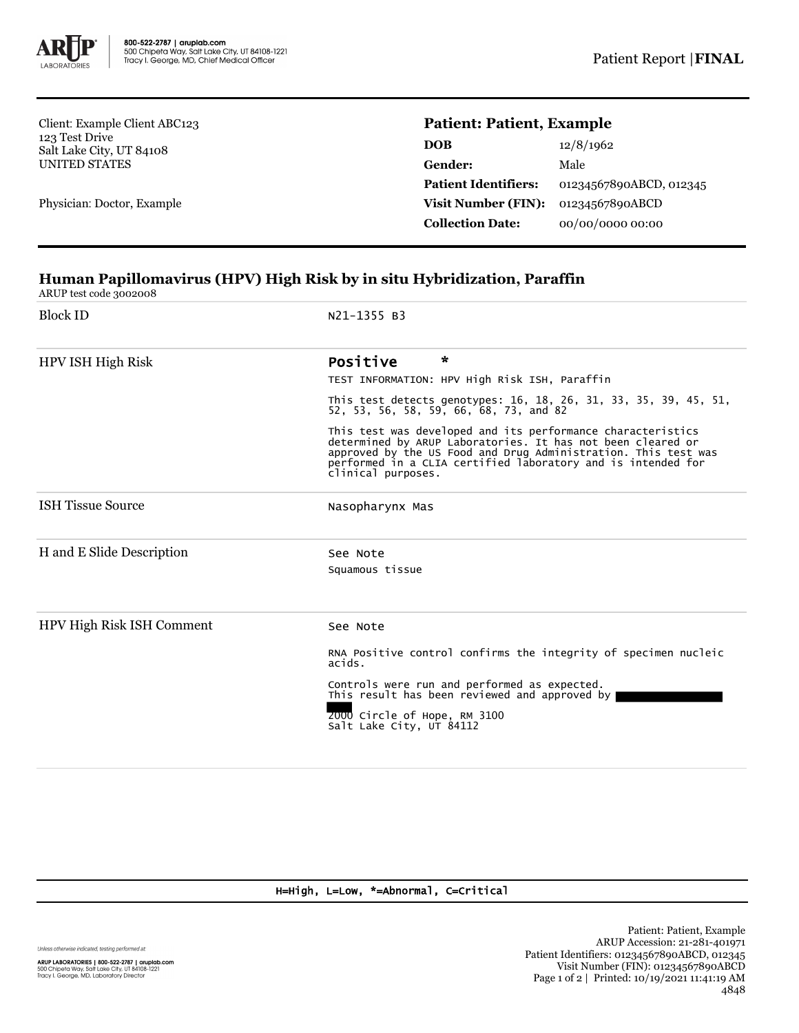

Client: Example Client ABC123 123 Test Drive Salt Lake City, UT 84108 UNITED STATES

Physician: Doctor, Example

## **Patient: Patient, Example**

| DOB                         | 12/8/1962               |  |
|-----------------------------|-------------------------|--|
| Gender:                     | Male                    |  |
| <b>Patient Identifiers:</b> | 01234567890ABCD, 012345 |  |
| <b>Visit Number (FIN):</b>  | 01234567890ABCD         |  |
| <b>Collection Date:</b>     | 00/00/0000 00:00        |  |
|                             |                         |  |

## **Human Papillomavirus (HPV) High Risk by in situ Hybridization, Paraffin**

ARUP test code 3002008

| <b>Block ID</b>           | N21-1355 B3                                                                                                                                                                                                                                                                     |
|---------------------------|---------------------------------------------------------------------------------------------------------------------------------------------------------------------------------------------------------------------------------------------------------------------------------|
| HPV ISH High Risk         | $\star$<br>Positive<br>TEST INFORMATION: HPV High Risk ISH, Paraffin                                                                                                                                                                                                            |
|                           | This test detects genotypes: 16, 18, 26, 31, 33, 35, 39, 45, 51,<br>52, 53, 56, 58, 59, 66, 68, 73, and 82                                                                                                                                                                      |
|                           | This test was developed and its performance characteristics<br>determined by ARUP Laboratories. It has not been cleared or approved by the US Food and Drug Administration. This test was<br>performed in a CLIA certified laboratory and is intended for<br>clinical purposes. |
| <b>ISH Tissue Source</b>  | Nasopharynx Mas                                                                                                                                                                                                                                                                 |
| H and E Slide Description | See Note<br>Squamous tissue                                                                                                                                                                                                                                                     |
| HPV High Risk ISH Comment | See Note                                                                                                                                                                                                                                                                        |
|                           | RNA Positive control confirms the integrity of specimen nucleic<br>acids.                                                                                                                                                                                                       |
|                           | Controls were run and performed as expected.<br>This result has been reviewed and approved by                                                                                                                                                                                   |
|                           | 2000 Circle of Hope, RM 3100<br>Salt Lake City, UT 84112                                                                                                                                                                                                                        |

H=High, L=Low, \*=Abnormal, C=Critical

Unless otherwise indicated, testing performed at:

**ARUP LABORATORIES | 800-522-2787 | aruplab.com**<br>500 Chipeta Way, Salt Lake City, UT 84108-1221<br>Tracy I. George, MD, Laboratory Director